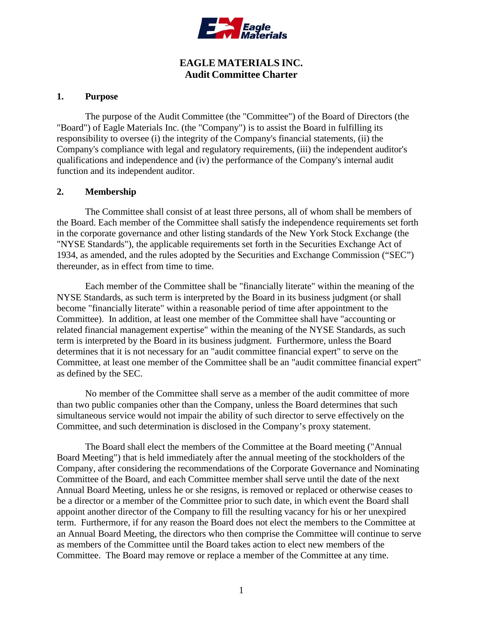

# **EAGLE MATERIALS INC. Audit Committee Charter**

#### **1. Purpose**

The purpose of the Audit Committee (the "Committee") of the Board of Directors (the "Board") of Eagle Materials Inc. (the "Company") is to assist the Board in fulfilling its responsibility to oversee (i) the integrity of the Company's financial statements, (ii) the Company's compliance with legal and regulatory requirements, (iii) the independent auditor's qualifications and independence and (iv) the performance of the Company's internal audit function and its independent auditor.

## **2. Membership**

The Committee shall consist of at least three persons, all of whom shall be members of the Board. Each member of the Committee shall satisfy the independence requirements set forth in the corporate governance and other listing standards of the New York Stock Exchange (the "NYSE Standards"), the applicable requirements set forth in the Securities Exchange Act of 1934, as amended, and the rules adopted by the Securities and Exchange Commission ("SEC") thereunder, as in effect from time to time.

Each member of the Committee shall be "financially literate" within the meaning of the NYSE Standards, as such term is interpreted by the Board in its business judgment (or shall become "financially literate" within a reasonable period of time after appointment to the Committee). In addition, at least one member of the Committee shall have "accounting or related financial management expertise" within the meaning of the NYSE Standards, as such term is interpreted by the Board in its business judgment. Furthermore, unless the Board determines that it is not necessary for an "audit committee financial expert" to serve on the Committee, at least one member of the Committee shall be an "audit committee financial expert" as defined by the SEC.

No member of the Committee shall serve as a member of the audit committee of more than two public companies other than the Company, unless the Board determines that such simultaneous service would not impair the ability of such director to serve effectively on the Committee, and such determination is disclosed in the Company's proxy statement.

The Board shall elect the members of the Committee at the Board meeting ("Annual Board Meeting") that is held immediately after the annual meeting of the stockholders of the Company, after considering the recommendations of the Corporate Governance and Nominating Committee of the Board, and each Committee member shall serve until the date of the next Annual Board Meeting, unless he or she resigns, is removed or replaced or otherwise ceases to be a director or a member of the Committee prior to such date, in which event the Board shall appoint another director of the Company to fill the resulting vacancy for his or her unexpired term. Furthermore, if for any reason the Board does not elect the members to the Committee at an Annual Board Meeting, the directors who then comprise the Committee will continue to serve as members of the Committee until the Board takes action to elect new members of the Committee. The Board may remove or replace a member of the Committee at any time.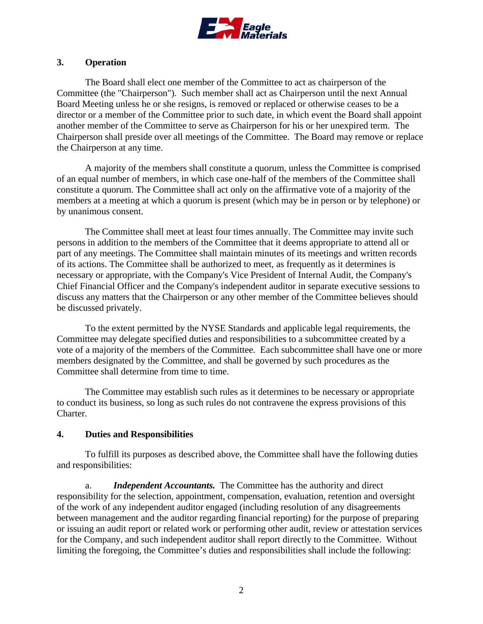

### **3. Operation**

The Board shall elect one member of the Committee to act as chairperson of the Committee (the "Chairperson"). Such member shall act as Chairperson until the next Annual Board Meeting unless he or she resigns, is removed or replaced or otherwise ceases to be a director or a member of the Committee prior to such date, in which event the Board shall appoint another member of the Committee to serve as Chairperson for his or her unexpired term. The Chairperson shall preside over all meetings of the Committee. The Board may remove or replace the Chairperson at any time.

A majority of the members shall constitute a quorum, unless the Committee is comprised of an equal number of members, in which case one-half of the members of the Committee shall constitute a quorum. The Committee shall act only on the affirmative vote of a majority of the members at a meeting at which a quorum is present (which may be in person or by telephone) or by unanimous consent.

The Committee shall meet at least four times annually. The Committee may invite such persons in addition to the members of the Committee that it deems appropriate to attend all or part of any meetings. The Committee shall maintain minutes of its meetings and written records of its actions. The Committee shall be authorized to meet, as frequently as it determines is necessary or appropriate, with the Company's Vice President of Internal Audit, the Company's Chief Financial Officer and the Company's independent auditor in separate executive sessions to discuss any matters that the Chairperson or any other member of the Committee believes should be discussed privately.

To the extent permitted by the NYSE Standards and applicable legal requirements, the Committee may delegate specified duties and responsibilities to a subcommittee created by a vote of a majority of the members of the Committee. Each subcommittee shall have one or more members designated by the Committee, and shall be governed by such procedures as the Committee shall determine from time to time.

The Committee may establish such rules as it determines to be necessary or appropriate to conduct its business, so long as such rules do not contravene the express provisions of this Charter.

#### **4. Duties and Responsibilities**

To fulfill its purposes as described above, the Committee shall have the following duties and responsibilities:

a. *Independent Accountants.* The Committee has the authority and direct responsibility for the selection, appointment, compensation, evaluation, retention and oversight of the work of any independent auditor engaged (including resolution of any disagreements between management and the auditor regarding financial reporting) for the purpose of preparing or issuing an audit report or related work or performing other audit, review or attestation services for the Company, and such independent auditor shall report directly to the Committee. Without limiting the foregoing, the Committee's duties and responsibilities shall include the following: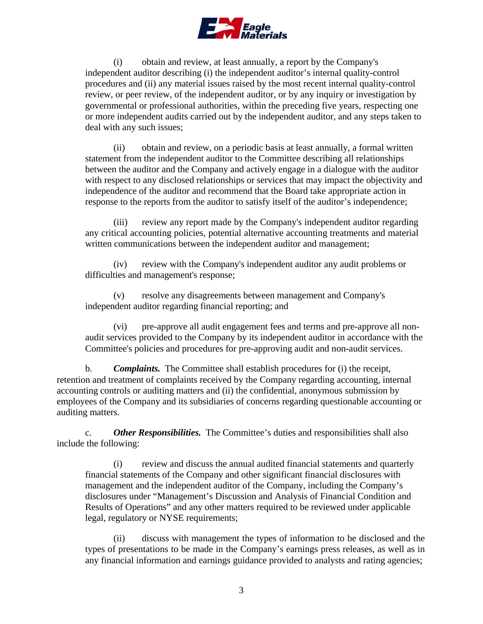

(i) obtain and review, at least annually, a report by the Company's independent auditor describing (i) the independent auditor's internal quality-control procedures and (ii) any material issues raised by the most recent internal quality-control review, or peer review, of the independent auditor, or by any inquiry or investigation by governmental or professional authorities, within the preceding five years, respecting one or more independent audits carried out by the independent auditor, and any steps taken to deal with any such issues;

(ii) obtain and review, on a periodic basis at least annually, a formal written statement from the independent auditor to the Committee describing all relationships between the auditor and the Company and actively engage in a dialogue with the auditor with respect to any disclosed relationships or services that may impact the objectivity and independence of the auditor and recommend that the Board take appropriate action in response to the reports from the auditor to satisfy itself of the auditor's independence;

(iii) review any report made by the Company's independent auditor regarding any critical accounting policies, potential alternative accounting treatments and material written communications between the independent auditor and management;

(iv) review with the Company's independent auditor any audit problems or difficulties and management's response;

(v) resolve any disagreements between management and Company's independent auditor regarding financial reporting; and

(vi) pre-approve all audit engagement fees and terms and pre-approve all nonaudit services provided to the Company by its independent auditor in accordance with the Committee's policies and procedures for pre-approving audit and non-audit services.

b. *Complaints.* The Committee shall establish procedures for (i) the receipt, retention and treatment of complaints received by the Company regarding accounting, internal accounting controls or auditing matters and (ii) the confidential, anonymous submission by employees of the Company and its subsidiaries of concerns regarding questionable accounting or auditing matters.

c. *Other Responsibilities.* The Committee's duties and responsibilities shall also include the following:

(i) review and discuss the annual audited financial statements and quarterly financial statements of the Company and other significant financial disclosures with management and the independent auditor of the Company, including the Company's disclosures under "Management's Discussion and Analysis of Financial Condition and Results of Operations" and any other matters required to be reviewed under applicable legal, regulatory or NYSE requirements;

(ii) discuss with management the types of information to be disclosed and the types of presentations to be made in the Company's earnings press releases, as well as in any financial information and earnings guidance provided to analysts and rating agencies;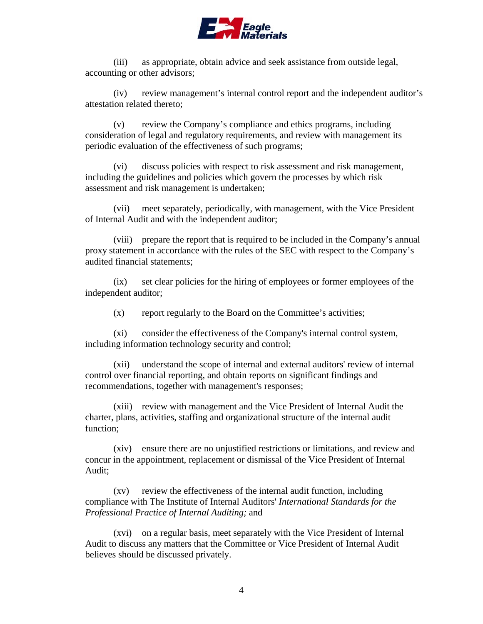

(iii) as appropriate, obtain advice and seek assistance from outside legal, accounting or other advisors;

(iv) review management's internal control report and the independent auditor's attestation related thereto;

(v) review the Company's compliance and ethics programs, including consideration of legal and regulatory requirements, and review with management its periodic evaluation of the effectiveness of such programs;

(vi) discuss policies with respect to risk assessment and risk management, including the guidelines and policies which govern the processes by which risk assessment and risk management is undertaken;

(vii) meet separately, periodically, with management, with the Vice President of Internal Audit and with the independent auditor;

(viii) prepare the report that is required to be included in the Company's annual proxy statement in accordance with the rules of the SEC with respect to the Company's audited financial statements;

(ix) set clear policies for the hiring of employees or former employees of the independent auditor;

(x) report regularly to the Board on the Committee's activities;

(xi) consider the effectiveness of the Company's internal control system, including information technology security and control;

(xii) understand the scope of internal and external auditors' review of internal control over financial reporting, and obtain reports on significant findings and recommendations, together with management's responses;

(xiii) review with management and the Vice President of Internal Audit the charter, plans, activities, staffing and organizational structure of the internal audit function;

(xiv) ensure there are no unjustified restrictions or limitations, and review and concur in the appointment, replacement or dismissal of the Vice President of Internal Audit;

(xv) review the effectiveness of the internal audit function, including compliance with The Institute of Internal Auditors' *International Standards for the Professional Practice of Internal Auditing;* and

(xvi) on a regular basis, meet separately with the Vice President of Internal Audit to discuss any matters that the Committee or Vice President of Internal Audit believes should be discussed privately.